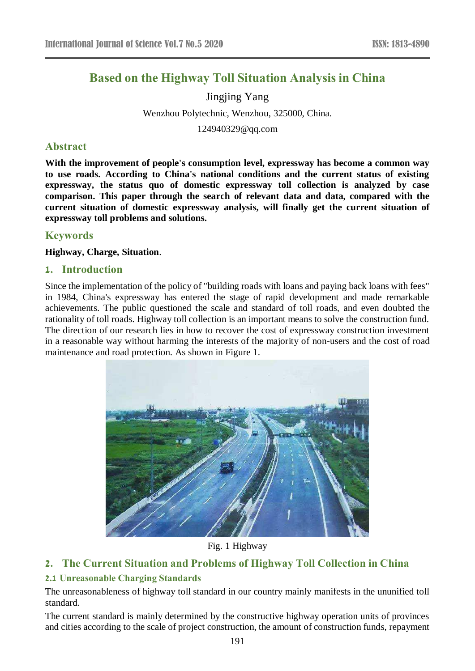# **Based on the Highway Toll Situation Analysis in China**

Jingjing Yang Wenzhou Polytechnic, Wenzhou, 325000, China.

124940329@qq.com

## **Abstract**

**With the improvement of people's consumption level, expressway has become a common way to use roads. According to China's national conditions and the current status of existing expressway, the status quo of domestic expressway toll collection is analyzed by case comparison. This paper through the search of relevant data and data, compared with the current situation of domestic expressway analysis, will finally get the current situation of expressway toll problems and solutions.**

## **Keywords**

**Highway, Charge, Situation**.

## **1. Introduction**

Since the implementation of the policy of "building roads with loans and paying back loans with fees" in 1984, China's expressway has entered the stage of rapid development and made remarkable achievements. The public questioned the scale and standard of toll roads, and even doubted the rationality of toll roads. Highway toll collection is an important means to solve the construction fund. The direction of our research lies in how to recover the cost of expressway construction investment in a reasonable way without harming the interests of the majority of non-users and the cost of road maintenance and road protection. As shown in Figure 1.



Fig. 1 Highway

## **2. The Current Situation and Problems of Highway Toll Collection in China**

## **2.1 Unreasonable Charging Standards**

The unreasonableness of highway toll standard in our country mainly manifests in the ununified toll standard.

The current standard is mainly determined by the constructive highway operation units of provinces and cities according to the scale of project construction, the amount of construction funds, repayment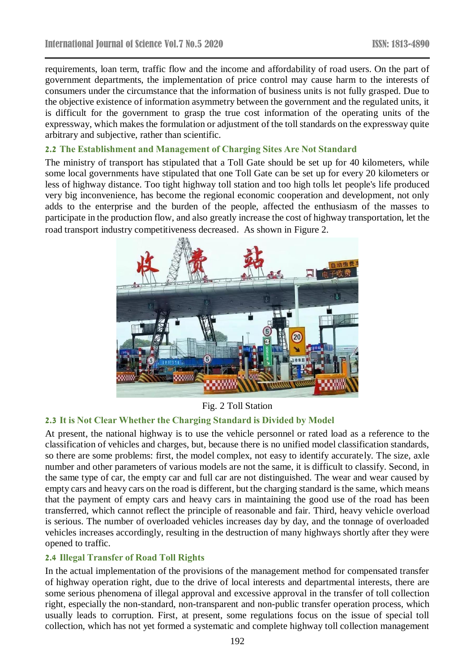requirements, loan term, traffic flow and the income and affordability of road users. On the part of government departments, the implementation of price control may cause harm to the interests of consumers under the circumstance that the information of business units is not fully grasped. Due to the objective existence of information asymmetry between the government and the regulated units, it is difficult for the government to grasp the true cost information of the operating units of the expressway, which makes the formulation or adjustment of the toll standards on the expressway quite arbitrary and subjective, rather than scientific.

#### **2.2 The Establishment and Management of Charging Sites Are Not Standard**

The ministry of transport has stipulated that a Toll Gate should be set up for 40 kilometers, while some local governments have stipulated that one Toll Gate can be set up for every 20 kilometers or less of highway distance. Too tight highway toll station and too high tolls let people's life produced very big inconvenience, has become the regional economic cooperation and development, not only adds to the enterprise and the burden of the people, affected the enthusiasm of the masses to participate in the production flow, and also greatly increase the cost of highway transportation, let the road transport industry competitiveness decreased. As shown in Figure 2.



Fig. 2 Toll Station

#### **2.3 It is Not Clear Whether the Charging Standard is Divided by Model**

At present, the national highway is to use the vehicle personnel or rated load as a reference to the classification of vehicles and charges, but, because there is no unified model classification standards, so there are some problems: first, the model complex, not easy to identify accurately. The size, axle number and other parameters of various models are not the same, it is difficult to classify. Second, in the same type of car, the empty car and full car are not distinguished. The wear and wear caused by empty cars and heavy cars on the road is different, but the charging standard is the same, which means that the payment of empty cars and heavy cars in maintaining the good use of the road has been transferred, which cannot reflect the principle of reasonable and fair. Third, heavy vehicle overload is serious. The number of overloaded vehicles increases day by day, and the tonnage of overloaded vehicles increases accordingly, resulting in the destruction of many highways shortly after they were opened to traffic.

#### **2.4 Illegal Transfer of Road Toll Rights**

In the actual implementation of the provisions of the management method for compensated transfer of highway operation right, due to the drive of local interests and departmental interests, there are some serious phenomena of illegal approval and excessive approval in the transfer of toll collection right, especially the non-standard, non-transparent and non-public transfer operation process, which usually leads to corruption. First, at present, some regulations focus on the issue of special toll collection, which has not yet formed a systematic and complete highway toll collection management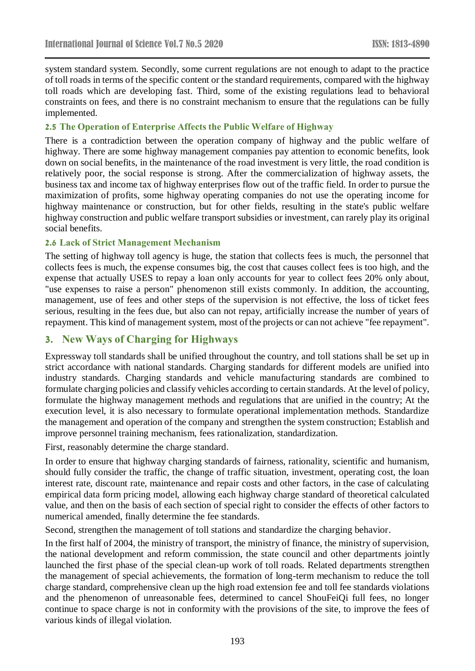system standard system. Secondly, some current regulations are not enough to adapt to the practice of toll roads in terms of the specific content or the standard requirements, compared with the highway toll roads which are developing fast. Third, some of the existing regulations lead to behavioral constraints on fees, and there is no constraint mechanism to ensure that the regulations can be fully implemented.

#### **2.5 The Operation of Enterprise Affects the Public Welfare of Highway**

There is a contradiction between the operation company of highway and the public welfare of highway. There are some highway management companies pay attention to economic benefits, look down on social benefits, in the maintenance of the road investment is very little, the road condition is relatively poor, the social response is strong. After the commercialization of highway assets, the business tax and income tax of highway enterprises flow out of the traffic field. In order to pursue the maximization of profits, some highway operating companies do not use the operating income for highway maintenance or construction, but for other fields, resulting in the state's public welfare highway construction and public welfare transport subsidies or investment, can rarely play its original social benefits.

#### **2.6 Lack of Strict Management Mechanism**

The setting of highway toll agency is huge, the station that collects fees is much, the personnel that collects fees is much, the expense consumes big, the cost that causes collect fees is too high, and the expense that actually USES to repay a loan only accounts for year to collect fees 20% only about, "use expenses to raise a person" phenomenon still exists commonly. In addition, the accounting, management, use of fees and other steps of the supervision is not effective, the loss of ticket fees serious, resulting in the fees due, but also can not repay, artificially increase the number of years of repayment. This kind of management system, most of the projects or can not achieve "fee repayment".

## **3. New Ways of Charging for Highways**

Expressway toll standards shall be unified throughout the country, and toll stations shall be set up in strict accordance with national standards. Charging standards for different models are unified into industry standards. Charging standards and vehicle manufacturing standards are combined to formulate charging policies and classify vehicles according to certain standards. At the level of policy, formulate the highway management methods and regulations that are unified in the country; At the execution level, it is also necessary to formulate operational implementation methods. Standardize the management and operation of the company and strengthen the system construction; Establish and improve personnel training mechanism, fees rationalization, standardization.

First, reasonably determine the charge standard.

In order to ensure that highway charging standards of fairness, rationality, scientific and humanism, should fully consider the traffic, the change of traffic situation, investment, operating cost, the loan interest rate, discount rate, maintenance and repair costs and other factors, in the case of calculating empirical data form pricing model, allowing each highway charge standard of theoretical calculated value, and then on the basis of each section of special right to consider the effects of other factors to numerical amended, finally determine the fee standards.

Second, strengthen the management of toll stations and standardize the charging behavior.

In the first half of 2004, the ministry of transport, the ministry of finance, the ministry of supervision, the national development and reform commission, the state council and other departments jointly launched the first phase of the special clean-up work of toll roads. Related departments strengthen the management of special achievements, the formation of long-term mechanism to reduce the toll charge standard, comprehensive clean up the high road extension fee and toll fee standards violations and the phenomenon of unreasonable fees, determined to cancel ShouFeiQi full fees, no longer continue to space charge is not in conformity with the provisions of the site, to improve the fees of various kinds of illegal violation.